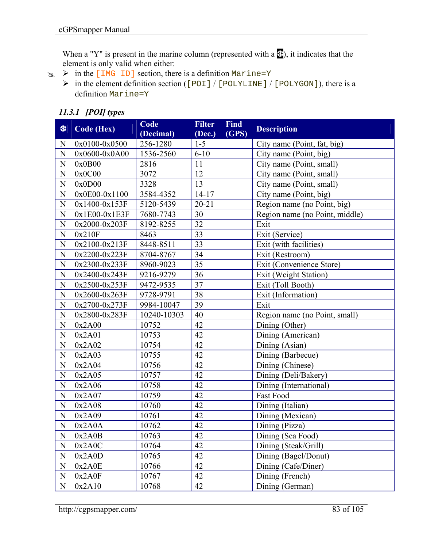When a "Y" is present in the marine column (represented with a  $\mathcal{L}$ ), it indicates that the element is only valid when either:

- $\triangleright$  in the [IMG ID] section, there is a definition Marine=Y
	- $\triangleright$  in the element definition section ([POI] / [POLYLINE] / [POLYGON]), there is a definition Marine=Y

## *11.3.1 [POI] types*

-

| 樂              | <b>Code (Hex)</b> | Code<br>(Decimal) | <b>Filter</b><br>(Dec.) | <b>Find</b><br>(GPS) | <b>Description</b>             |
|----------------|-------------------|-------------------|-------------------------|----------------------|--------------------------------|
| N              | $0x0100 - 0x0500$ | 256-1280          | $1 - 5$                 |                      | City name (Point, fat, big)    |
| $\mathbf N$    | $0x0600 - 0x0A00$ | 1536-2560         | $6 - 10$                |                      | City name (Point, big)         |
| $\mathbf N$    | 0x0B00            | 2816              | 11                      |                      | City name (Point, small)       |
| ${\bf N}$      | 0x0C00            | 3072              | 12                      |                      | City name (Point, small)       |
| $\mathbf N$    | 0x0D00            | 3328              | 13                      |                      | City name (Point, small)       |
| $\mathbf N$    | $0x0E00-0x1100$   | 3584-4352         | $14 - 17$               |                      | City name (Point, big)         |
| ${\bf N}$      | $0x1400 - 0x153F$ | 5120-5439         | $20 - 21$               |                      | Region name (no Point, big)    |
| ${\bf N}$      | $0x1E00-0x1E3F$   | 7680-7743         | 30                      |                      | Region name (no Point, middle) |
| ${\bf N}$      | 0x2000-0x203F     | 8192-8255         | 32                      |                      | Exit                           |
| ${\bf N}$      | 0x210F            | 8463              | 33                      |                      | Exit (Service)                 |
| ${\bf N}$      | 0x2100-0x213F     | 8448-8511         | 33                      |                      | Exit (with facilities)         |
| ${\bf N}$      | 0x2200-0x223F     | 8704-8767         | 34                      |                      | Exit (Restroom)                |
| $\mathbf N$    | 0x2300-0x233F     | 8960-9023         | 35                      |                      | Exit (Convenience Store)       |
| ${\bf N}$      | 0x2400-0x243F     | 9216-9279         | 36                      |                      | Exit (Weight Station)          |
| ${\bf N}$      | 0x2500-0x253F     | 9472-9535         | 37                      |                      | Exit (Toll Booth)              |
| ${\bf N}$      | 0x2600-0x263F     | 9728-9791         | 38                      |                      | Exit (Information)             |
| ${\bf N}$      | 0x2700-0x273F     | 9984-10047        | 39                      |                      | Exit                           |
| $\mathbf N$    | 0x2800-0x283F     | 10240-10303       | 40                      |                      | Region name (no Point, small)  |
| ${\bf N}$      | 0x2A00            | 10752             | 42                      |                      | Dining (Other)                 |
| $\mathbf N$    | 0x2A01            | 10753             | 42                      |                      | Dining (American)              |
| ${\bf N}$      | 0x2A02            | 10754             | 42                      |                      | Dining (Asian)                 |
| ${\bf N}$      | 0x2A03            | 10755             | 42                      |                      | Dining (Barbecue)              |
| $\mathbf N$    | 0x2A04            | 10756             | 42                      |                      | Dining (Chinese)               |
| ${\bf N}$      | 0x2A05            | 10757             | 42                      |                      | Dining (Deli/Bakery)           |
| $\mathbf N$    | 0x2A06            | 10758             | 42                      |                      | Dining (International)         |
| ${\bf N}$      | 0x2A07            | 10759             | 42                      |                      | Fast Food                      |
| N              | 0x2A08            | 10760             | 42                      |                      | Dining (Italian)               |
| ${\bf N}$      | 0x2A09            | 10761             | 42                      |                      | Dining (Mexican)               |
| $\overline{N}$ | 0x2A0A            | 10762             | 42                      |                      | Dining (Pizza)                 |
| N              | 0x2A0B            | 10763             | 42                      |                      | Dining (Sea Food)              |
| $\mathbf N$    | 0x2A0C            | 10764             | 42                      |                      | Dining (Steak/Grill)           |
| $\mathbf N$    | 0x2A0D            | 10765             | 42                      |                      | Dining (Bagel/Donut)           |
| $\mathbf N$    | 0x2A0E            | 10766             | 42                      |                      | Dining (Cafe/Diner)            |
| $\mathbf N$    | 0x2A0F            | 10767             | 42                      |                      | Dining (French)                |
| $\mathbf N$    | 0x2A10            | 10768             | 42                      |                      | Dining (German)                |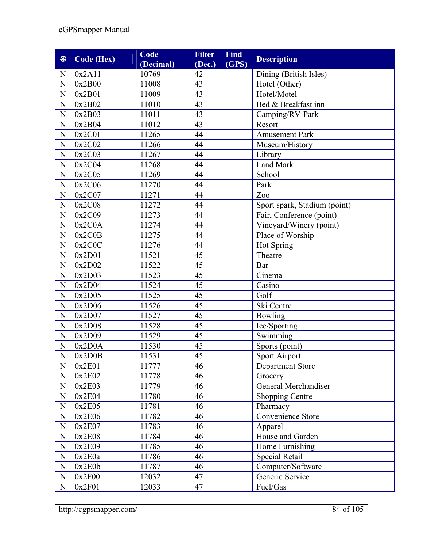| 黎              | <b>Code (Hex)</b> | Code<br>(Decimal) | <b>Filter</b><br>(Dec.) | <b>Find</b><br>(GPS) | <b>Description</b>           |
|----------------|-------------------|-------------------|-------------------------|----------------------|------------------------------|
| N              | 0x2A11            | 10769             | 42                      |                      | Dining (British Isles)       |
| $\mathbf N$    | 0x2B00            | 11008             | 43                      |                      | Hotel (Other)                |
| N              | 0x2B01            | 11009             | 43                      |                      | Hotel/Motel                  |
| ${\bf N}$      | 0x2B02            | 11010             | 43                      |                      | Bed & Breakfast inn          |
| N              | 0x2B03            | 11011             | 43                      |                      | Camping/RV-Park              |
| $\mathbf N$    | 0x2B04            | 11012             | 43                      |                      | Resort                       |
| $\overline{N}$ | 0x2C01            | 11265             | 44                      |                      | <b>Amusement Park</b>        |
| N              | 0x2C02            | 11266             | 44                      |                      | Museum/History               |
| $\mathbf N$    | 0x2C03            | 11267             | 44                      |                      | Library                      |
| ${\bf N}$      | 0x2C04            | 11268             | 44                      |                      | Land Mark                    |
| ${\bf N}$      | 0x2C05            | 11269             | 44                      |                      | School                       |
| $\mathbf N$    | 0x2C06            | 11270             | 44                      |                      | Park                         |
| ${\bf N}$      | 0x2C07            | 11271             | 44                      |                      | Zoo                          |
| $\overline{N}$ | 0x2C08            | 11272             | 44                      |                      | Sport spark, Stadium (point) |
| N              | 0x2C09            | 11273             | 44                      |                      | Fair, Conference (point)     |
| $\mathbf N$    | 0x2C0A            | 11274             | 44                      |                      | Vineyard/Winery (point)      |
| ${\bf N}$      | 0x2C0B            | 11275             | 44                      |                      | Place of Worship             |
| ${\bf N}$      | 0x2C0C            | 11276             | 44                      |                      | Hot Spring                   |
| N              | 0x2D01            | 11521             | 45                      |                      | Theatre                      |
| ${\bf N}$      | 0x2D02            | 11522             | 45                      |                      | Bar                          |
| $\mathbf N$    | 0x2D03            | 11523             | 45                      |                      | Cinema                       |
| $\mathbf N$    | 0x2D04            | 11524             | 45                      |                      | Casino                       |
| ${\bf N}$      | 0x2D05            | 11525             | 45                      |                      | Golf                         |
| $\mathbf N$    | 0x2D06            | 11526             | $\overline{45}$         |                      | Ski Centre                   |
| $\mathbf N$    | 0x2D07            | 11527             | 45                      |                      | <b>Bowling</b>               |
| $\overline{N}$ | 0x2D08            | 11528             | 45                      |                      | Ice/Sporting                 |
| ${\bf N}$      | 0x2D09            | 11529             | 45                      |                      | Swimming                     |
| $\mathbf N$    | 0x2D0A            | 11530             | 45                      |                      | Sports (point)               |
| ${\bf N}$      | 0x2D0B            | 11531             | 45                      |                      | Sport Airport                |
| N              | 0x2E01            | 11777             | 46                      |                      | Department Store             |
| $\mathbf N$    | 0x2E02            | 11778             | 46                      |                      | Grocery                      |
| ${\bf N}$      | 0x2E03            | 11779             | 46                      |                      | General Merchandiser         |
| $\mathbf N$    | 0x2E04            | 11780             | 46                      |                      | <b>Shopping Centre</b>       |
| $\mathbf N$    | 0x2E05            | 11781             | 46                      |                      | Pharmacy                     |
| ${\bf N}$      | 0x2E06            | 11782             | 46                      |                      | Convenience Store            |
| ${\bf N}$      | 0x2E07            | 11783             | 46                      |                      | Apparel                      |
| ${\bf N}$      | 0x2E08            | 11784             | 46                      |                      | House and Garden             |
| $\mathbf N$    | 0x2E09            | 11785             | 46                      |                      | Home Furnishing              |
| ${\bf N}$      | 0x2E0a            | 11786             | 46                      |                      | Special Retail               |
| ${\bf N}$      | 0x2E0b            | 11787             | 46                      |                      | Computer/Software            |
| $\mathbf N$    | 0x2F00            | 12032             | 47                      |                      | Generic Service              |
| $\mathbf N$    | 0x2F01            | 12033             | 47                      |                      | Fuel/Gas                     |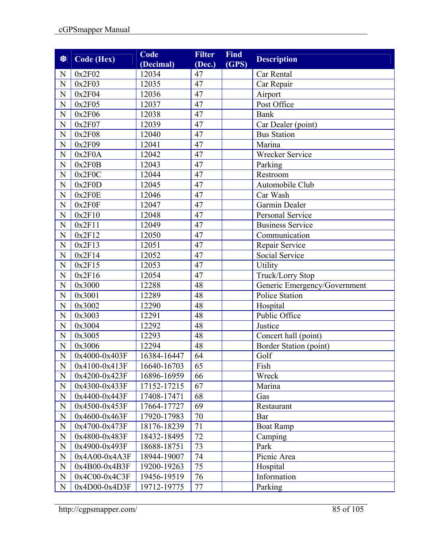| 黎              | <b>Code (Hex)</b> | Code<br>(Decimal) | <b>Filter</b><br>(Dec.) | <b>Find</b><br>(GPS) | <b>Description</b>           |
|----------------|-------------------|-------------------|-------------------------|----------------------|------------------------------|
| N              | 0x2F02            | 12034             | 47                      |                      | Car Rental                   |
| ${\bf N}$      | 0x2F03            | 12035             | 47                      |                      | Car Repair                   |
| N              | 0x2F04            | 12036             | 47                      |                      | Airport                      |
| ${\bf N}$      | 0x2F05            | 12037             | 47                      |                      | Post Office                  |
| $\mathbf N$    | 0x2F06            | 12038             | 47                      |                      | <b>Bank</b>                  |
| $\mathbf N$    | 0x2F07            | 12039             | 47                      |                      | Car Dealer (point)           |
| $\overline{N}$ | 0x2F08            | 12040             | 47                      |                      | <b>Bus Station</b>           |
| ${\bf N}$      | 0x2F09            | 12041             | 47                      |                      | Marina                       |
| ${\bf N}$      | 0x2F0A            | 12042             | 47                      |                      | Wrecker Service              |
| ${\bf N}$      | 0x2F0B            | 12043             | 47                      |                      | Parking                      |
| ${\bf N}$      | 0x2F0C            | 12044             | 47                      |                      | Restroom                     |
| $\mathbf N$    | 0x2F0D            | 12045             | 47                      |                      | Automobile Club              |
| $\mathbf N$    | 0x2F0E            | 12046             | 47                      |                      | Car Wash                     |
| $\overline{N}$ | 0x2F0F            | 12047             | 47                      |                      | Garmin Dealer                |
| N              | 0x2F10            | 12048             | 47                      |                      | <b>Personal Service</b>      |
| ${\bf N}$      | 0x2F11            | 12049             | 47                      |                      | <b>Business Service</b>      |
| ${\bf N}$      | 0x2F12            | 12050             | 47                      |                      | Communication                |
| ${\bf N}$      | 0x2F13            | 12051             | 47                      |                      | Repair Service               |
| $\mathbf N$    | 0x2F14            | 12052             | 47                      |                      | Social Service               |
| ${\bf N}$      | 0x2F15            | 12053             | 47                      |                      | Utility                      |
| N              | 0x2F16            | 12054             | 47                      |                      | Truck/Lorry Stop             |
| ${\bf N}$      | 0x3000            | 12288             | 48                      |                      | Generic Emergency/Government |
| ${\bf N}$      | 0x3001            | 12289             | 48                      |                      | <b>Police Station</b>        |
| ${\bf N}$      | 0x3002            | 12290             | 48                      |                      | Hospital                     |
| ${\bf N}$      | 0x3003            | 12291             | 48                      |                      | Public Office                |
| $\overline{N}$ | 0x3004            | 12292             | 48                      |                      | Justice                      |
| ${\bf N}$      | 0x3005            | 12293             | 48                      |                      | Concert hall (point)         |
| $\overline{N}$ | 0x3006            | 12294             | 48                      |                      | Border Station (point)       |
| $\mathbf N$    | 0x4000-0x403F     | 16384-16447       | 64                      |                      | Golf                         |
| N              | 0x4100-0x413F     | 16640-16703       | 65                      |                      | Fish                         |
| $\mathbf N$    | 0x4200-0x423F     | 16896-16959       | 66                      |                      | Wreck                        |
| $\mathbf N$    | 0x4300-0x433F     | 17152-17215       | 67                      |                      | Marina                       |
| $\mathbf N$    | 0x4400-0x443F     | 17408-17471       | 68                      |                      | Gas                          |
| $\mathbf N$    | 0x4500-0x453F     | 17664-17727       | 69                      |                      | Restaurant                   |
| ${\bf N}$      | 0x4600-0x463F     | 17920-17983       | 70                      |                      | Bar                          |
| $\mathbf N$    | 0x4700-0x473F     | 18176-18239       | 71                      |                      | <b>Boat Ramp</b>             |
| $\mathbf N$    | 0x4800-0x483F     | 18432-18495       | 72                      |                      | Camping                      |
| $\mathbf N$    | 0x4900-0x493F     | 18688-18751       | 73                      |                      | Park                         |
| $\mathbf N$    | $0x4A00-0x4A3F$   | 18944-19007       | 74                      |                      | Picnic Area                  |
| ${\bf N}$      | 0x4B00-0x4B3F     | 19200-19263       | 75                      |                      | Hospital                     |
| N              | 0x4C00-0x4C3F     | 19456-19519       | 76                      |                      | Information                  |
| ${\bf N}$      | 0x4D00-0x4D3F     | 19712-19775       | 77                      |                      | Parking                      |

http://cgpsmapper.com/ 85 of 105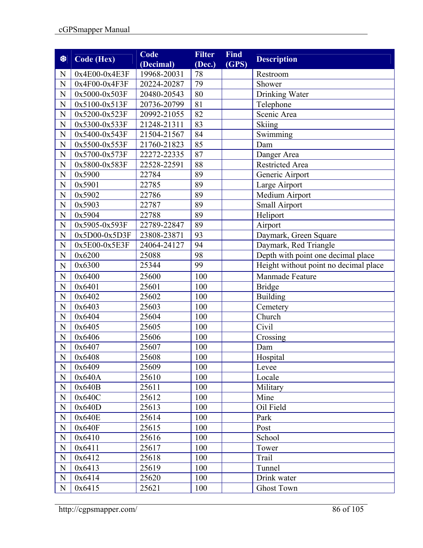| 黎              | Code (Hex)      | Code                     | <b>Filter</b> | <b>Find</b> | <b>Description</b>                    |
|----------------|-----------------|--------------------------|---------------|-------------|---------------------------------------|
| N              | $0x4E00-0x4E3F$ | (Decimal)<br>19968-20031 | (Dec.)<br>78  | (GPS)       | Restroom                              |
| $\mathbf N$    | 0x4F00-0x4F3F   | 20224-20287              | 79            |             | Shower                                |
| N              | 0x5000-0x503F   | 20480-20543              | 80            |             | Drinking Water                        |
| ${\bf N}$      | 0x5100-0x513F   | 20736-20799              | 81            |             | Telephone                             |
| N              | 0x5200-0x523F   | 20992-21055              | 82            |             | Scenic Area                           |
| $\mathbf N$    | 0x5300-0x533F   | 21248-21311              | 83            |             | <b>Skiing</b>                         |
| $\overline{N}$ | 0x5400-0x543F   | 21504-21567              | 84            |             | Swimming                              |
| N              | 0x5500-0x553F   | 21760-21823              | 85            |             | Dam                                   |
| $\mathbf N$    | 0x5700-0x573F   | 22272-22335              | 87            |             | Danger Area                           |
| N              | 0x5800-0x583F   | 22528-22591              | 88            |             | <b>Restricted Area</b>                |
| ${\bf N}$      | 0x5900          | 22784                    | 89            |             | Generic Airport                       |
| $\mathbf N$    | 0x5901          | 22785                    | 89            |             | Large Airport                         |
| N              | 0x5902          | 22786                    | 89            |             | Medium Airport                        |
| $\overline{N}$ | 0x5903          | 22787                    | 89            |             | Small Airport                         |
| N              | 0x5904          | 22788                    | 89            |             | Heliport                              |
| ${\bf N}$      | 0x5905-0x593F   | 22789-22847              | 89            |             | Airport                               |
| $\mathbf N$    | $0x5D00-0x5D3F$ | 23808-23871              | 93            |             | Daymark, Green Square                 |
| ${\bf N}$      | 0x5E00-0x5E3F   | 24064-24127              | 94            |             | Daymark, Red Triangle                 |
| N              | 0x6200          | 25088                    | 98            |             | Depth with point one decimal place    |
| $\mathbf N$    | 0x6300          | 25344                    | 99            |             | Height without point no decimal place |
| $\mathbf N$    | 0x6400          | 25600                    | 100           |             | Manmade Feature                       |
| ${\bf N}$      | 0x6401          | 25601                    | 100           |             | <b>Bridge</b>                         |
| $\overline{N}$ | 0x6402          | 25602                    | 100           |             | <b>Building</b>                       |
| N              | 0x6403          | 25603                    | 100           |             | Cemetery                              |
| N              | 0x6404          | 25604                    | 100           |             | Church                                |
| ${\bf N}$      | 0x6405          | 25605                    | 100           |             | Civil                                 |
| ${\bf N}$      | 0x6406          | 25606                    | 100           |             | Crossing                              |
| N              | 0x6407          | 25607                    | 100           |             | Dam                                   |
| $\mathbf N$    | 0x6408          | 25608                    | 100           |             | Hospital                              |
| N              | 0x6409          | 25609                    | 100           |             | Levee                                 |
| N              | 0x640A          | 25610                    | 100           |             | Locale                                |
| ${\bf N}$      | 0x640B          | 25611                    | 100           |             | Military                              |
| $\mathbf N$    | 0x640C          | 25612                    | 100           |             | Mine                                  |
| $\mathbf N$    | 0x640D          | 25613                    | 100           |             | Oil Field                             |
| $\mathbf N$    | 0x640E          | 25614                    | 100           |             | Park                                  |
| $\mathbf N$    | 0x640F          | 25615                    | 100           |             | Post                                  |
| $\mathbf N$    | 0x6410          | 25616                    | 100           |             | School                                |
| $\mathbf N$    | 0x6411          | 25617                    | 100           |             | Tower                                 |
| $\mathbf N$    | 0x6412          | 25618                    | 100           |             | Trail                                 |
| N              | 0x6413          | 25619                    | 100           |             | Tunnel                                |
| $\mathbf N$    | 0x6414          | 25620                    | 100           |             | Drink water                           |
| $\mathbf N$    | 0x6415          | 25621                    | 100           |             | <b>Ghost Town</b>                     |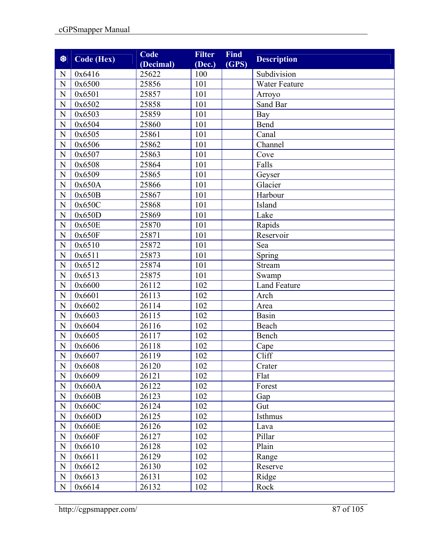| 参              | Code (Hex) | Code<br>(Decimal) | <b>Filter</b><br>(Dec.) | <b>Find</b><br>(GPS) | <b>Description</b>  |
|----------------|------------|-------------------|-------------------------|----------------------|---------------------|
| N              | 0x6416     | 25622             | 100                     |                      | Subdivision         |
| ${\bf N}$      | 0x6500     | 25856             | 101                     |                      | Water Feature       |
| ${\bf N}$      | 0x6501     | 25857             | 101                     |                      | Arroyo              |
| ${\bf N}$      | 0x6502     | 25858             | 101                     |                      | Sand Bar            |
| $\overline{N}$ | 0x6503     | 25859             | 101                     |                      | <b>Bay</b>          |
| ${\bf N}$      | 0x6504     | 25860             | 101                     |                      | Bend                |
| $\mathbf N$    | 0x6505     | 25861             | 101                     |                      | Canal               |
| $\mathbf N$    | 0x6506     | 25862             | 101                     |                      | Channel             |
| ${\bf N}$      | 0x6507     | 25863             | 101                     |                      | Cove                |
| ${\bf N}$      | 0x6508     | 25864             | 101                     |                      | Falls               |
| ${\bf N}$      | 0x6509     | 25865             | 101                     |                      | Geyser              |
| $\mathbf N$    | 0x650A     | 25866             | 101                     |                      | Glacier             |
| ${\bf N}$      | 0x650B     | 25867             | 101                     |                      | Harbour             |
| $\mathbf N$    | 0x650C     | 25868             | 101                     |                      | Island              |
| $\mathbf N$    | 0x650D     | 25869             | 101                     |                      | Lake                |
| ${\bf N}$      | 0x650E     | 25870             | 101                     |                      | Rapids              |
| ${\bf N}$      | 0x650F     | 25871             | 101                     |                      | Reservoir           |
| ${\bf N}$      | 0x6510     | 25872             | 101                     |                      | Sea                 |
| N              | 0x6511     | 25873             | 101                     |                      | Spring              |
| ${\bf N}$      | 0x6512     | 25874             | 101                     |                      | Stream              |
| $\mathbf N$    | 0x6513     | 25875             | 101                     |                      | Swamp               |
| $\mathbf N$    | 0x6600     | 26112             | 102                     |                      | <b>Land Feature</b> |
| ${\bf N}$      | 0x6601     | 26113             | 102                     |                      | Arch                |
| N              | 0x6602     | 26114             | 102                     |                      | Area                |
| $\overline{N}$ | 0x6603     | 26115             | 102                     |                      | Basin               |
| $\mathbf N$    | 0x6604     | 26116             | 102                     |                      | Beach               |
| N              | 0x6605     | 26117             | 102                     |                      | Bench               |
| ${\bf N}$      | 0x6606     | 26118             | 102                     |                      | Cape                |
| N              | 0x6607     | 26119             | 102                     |                      | Cliff               |
| $\mathbf N$    | 0x6608     | 26120             | 102                     |                      | Crater              |
| ${\bf N}$      | 0x6609     | 26121             | 102                     |                      | Flat                |
| N              | 0x660A     | 26122             | 102                     |                      | Forest              |
| ${\bf N}$      | 0x660B     | 26123             | 102                     |                      | Gap                 |
| N              | 0x660C     | 26124             | 102                     |                      | Gut                 |
| ${\bf N}$      | 0x660D     | 26125             | 102                     |                      | Isthmus             |
| N              | 0x660E     | 26126             | 102                     |                      | Lava                |
| $\mathbf N$    | 0x660F     | 26127             | 102                     |                      | Pillar              |
| ${\bf N}$      | 0x6610     | 26128             | 102                     |                      | Plain               |
| $\mathbf N$    | 0x6611     | 26129             | 102                     |                      | Range               |
| ${\bf N}$      | 0x6612     | 26130             | 102                     |                      | Reserve             |
| ${\bf N}$      | 0x6613     | 26131             | 102                     |                      | Ridge               |
| ${\bf N}$      | 0x6614     | 26132             | 102                     |                      | Rock                |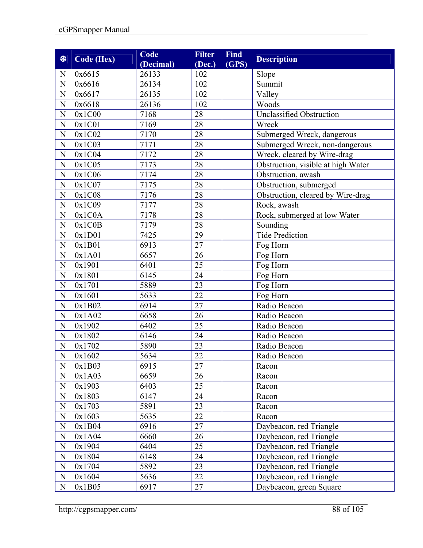| 黎              | Code (Hex) | Code<br>(Decimal) | <b>Filter</b><br>(Dec.) | Find<br>(GPS) | <b>Description</b>                 |
|----------------|------------|-------------------|-------------------------|---------------|------------------------------------|
| N              | 0x6615     | 26133             | 102                     |               | Slope                              |
| ${\bf N}$      | 0x6616     | 26134             | 102                     |               | Summit                             |
| ${\bf N}$      | 0x6617     | 26135             | 102                     |               | Valley                             |
| ${\bf N}$      | 0x6618     | 26136             | 102                     |               | Woods                              |
| $\mathbf N$    | 0x1C00     | 7168              | 28                      |               | <b>Unclassified Obstruction</b>    |
| ${\bf N}$      | 0x1C01     | 7169              | 28                      |               | Wreck                              |
| $\mathbf N$    | 0x1C02     | 7170              | 28                      |               | Submerged Wreck, dangerous         |
| N              | 0x1C03     | 7171              | 28                      |               | Submerged Wreck, non-dangerous     |
| ${\bf N}$      | 0x1C04     | 7172              | 28                      |               | Wreck, cleared by Wire-drag        |
| ${\bf N}$      | 0x1C05     | 7173              | 28                      |               | Obstruction, visible at high Water |
| $\overline{N}$ | 0x1C06     | 7174              | 28                      |               | Obstruction, awash                 |
| ${\bf N}$      | 0x1C07     | 7175              | 28                      |               | Obstruction, submerged             |
| N              | 0x1C08     | 7176              | 28                      |               | Obstruction, cleared by Wire-drag  |
| $\mathbf N$    | 0x1C09     | 7177              | 28                      |               | Rock, awash                        |
| ${\bf N}$      | 0x1COA     | 7178              | 28                      |               | Rock, submerged at low Water       |
| ${\bf N}$      | 0x1C0B     | 7179              | 28                      |               | Sounding                           |
| ${\bf N}$      | 0x1D01     | 7425              | 29                      |               | <b>Tide Prediction</b>             |
| ${\bf N}$      | 0x1B01     | 6913              | 27                      |               | Fog Horn                           |
| ${\bf N}$      | 0x1A01     | 6657              | 26                      |               | Fog Horn                           |
| N              | 0x1901     | 6401              | 25                      |               | Fog Horn                           |
| $\mathbf N$    | 0x1801     | 6145              | 24                      |               | Fog Horn                           |
| $\mathbf N$    | 0x1701     | 5889              | 23                      |               | Fog Horn                           |
| ${\bf N}$      | 0x1601     | 5633              | 22                      |               | Fog Horn                           |
| $\overline{N}$ | 0x1B02     | 6914              | $\overline{27}$         |               | Radio Beacon                       |
| $\mathbf N$    | 0x1A02     | 6658              | 26                      |               | Radio Beacon                       |
| $\mathbf N$    | 0x1902     | 6402              | 25                      |               | Radio Beacon                       |
| $\mathbf N$    | 0x1802     | 6146              | 24                      |               | Radio Beacon                       |
| ${\bf N}$      | 0x1702     | 5890              | 23                      |               | Radio Beacon                       |
| $\mathbf N$    | 0x1602     | 5634              | 22                      |               | Radio Beacon                       |
| $\mathbf N$    | 0x1B03     | 6915              | 27                      |               | Racon                              |
| ${\bf N}$      | 0x1A03     | 6659              | 26                      |               | Racon                              |
| ${\bf N}$      | 0x1903     | 6403              | 25                      |               | Racon                              |
| ${\bf N}$      | 0x1803     | 6147              | 24                      |               | Racon                              |
| ${\bf N}$      | 0x1703     | 5891              | 23                      |               | Racon                              |
| ${\bf N}$      | 0x1603     | 5635              | 22                      |               | Racon                              |
| ${\bf N}$      | 0x1B04     | 6916              | 27                      |               | Daybeacon, red Triangle            |
| ${\bf N}$      | 0x1A04     | 6660              | 26                      |               | Daybeacon, red Triangle            |
| ${\bf N}$      | 0x1904     | 6404              | 25                      |               | Daybeacon, red Triangle            |
| ${\bf N}$      | 0x1804     | 6148              | 24                      |               | Daybeacon, red Triangle            |
| ${\bf N}$      | 0x1704     | 5892              | 23                      |               | Daybeacon, red Triangle            |
| $\mathbf N$    | 0x1604     | 5636              | 22                      |               | Daybeacon, red Triangle            |
| ${\bf N}$      | 0x1B05     | 6917              | 27                      |               | Daybeacon, green Square            |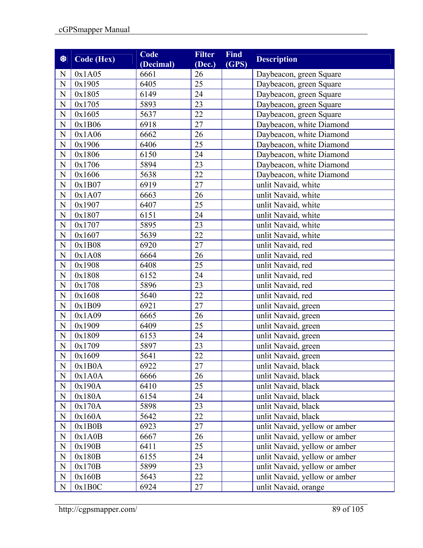| 黎              | Code (Hex) | Code<br>(Decimal) | <b>Filter</b><br>(Dec.) | <b>Find</b><br>(GPS) | <b>Description</b>            |
|----------------|------------|-------------------|-------------------------|----------------------|-------------------------------|
| N              | 0x1A05     | 6661              | 26                      |                      | Daybeacon, green Square       |
| N              | 0x1905     | 6405              | 25                      |                      | Daybeacon, green Square       |
| $\mathbf N$    | 0x1805     | 6149              | 24                      |                      | Daybeacon, green Square       |
| ${\bf N}$      | 0x1705     | 5893              | 23                      |                      | Daybeacon, green Square       |
| $\mathbf N$    | 0x1605     | 5637              | 22                      |                      | Daybeacon, green Square       |
| $\mathbf N$    | 0x1B06     | 6918              | 27                      |                      | Daybeacon, white Diamond      |
| $\overline{N}$ | 0x1A06     | 6662              | 26                      |                      | Daybeacon, white Diamond      |
| $\mathbf N$    | 0x1906     | 6406              | 25                      |                      | Daybeacon, white Diamond      |
| ${\bf N}$      | 0x1806     | 6150              | 24                      |                      | Daybeacon, white Diamond      |
| ${\bf N}$      | 0x1706     | 5894              | 23                      |                      | Daybeacon, white Diamond      |
| ${\bf N}$      | 0x1606     | 5638              | 22                      |                      | Daybeacon, white Diamond      |
| $\mathbf N$    | 0x1B07     | 6919              | 27                      |                      | unlit Navaid, white           |
| ${\bf N}$      | 0x1A07     | 6663              | 26                      |                      | unlit Navaid, white           |
| $\overline{N}$ | 0x1907     | 6407              | 25                      |                      | unlit Navaid, white           |
| $\mathbf N$    | 0x1807     | 6151              | 24                      |                      | unlit Navaid, white           |
| ${\bf N}$      | 0x1707     | 5895              | 23                      |                      | unlit Navaid, white           |
| ${\bf N}$      | 0x1607     | 5639              | 22                      |                      | unlit Navaid, white           |
| ${\bf N}$      | 0x1B08     | 6920              | 27                      |                      | unlit Navaid, red             |
| ${\bf N}$      | 0x1A08     | 6664              | 26                      |                      | unlit Navaid, red             |
| ${\bf N}$      | 0x1908     | 6408              | 25                      |                      | unlit Navaid, red             |
| ${\bf N}$      | 0x1808     | 6152              | 24                      |                      | unlit Navaid, red             |
| $\mathbf N$    | 0x1708     | 5896              | 23                      |                      | unlit Navaid, red             |
| ${\bf N}$      | 0x1608     | 5640              | 22                      |                      | unlit Navaid, red             |
| ${\bf N}$      | 0x1B09     | 6921              | 27                      |                      | unlit Navaid, green           |
| $\mathbf N$    | 0x1A09     | 6665              | 26                      |                      | unlit Navaid, green           |
| $\overline{N}$ | 0x1909     | 6409              | 25                      |                      | unlit Navaid, green           |
| $\mathbf N$    | 0x1809     | 6153              | 24                      |                      | unlit Navaid, green           |
| $\overline{N}$ | 0x1709     | 5897              | 23                      |                      | unlit Navaid, green           |
| ${\bf N}$      | 0x1609     | 5641              | 22                      |                      | unlit Navaid, green           |
| N              | 0x1B0A     | 6922              | 27                      |                      | unlit Navaid, black           |
| $\mathbf N$    | 0x1A0A     | 6666              | 26                      |                      | unlit Navaid, black           |
| ${\bf N}$      | 0x190A     | 6410              | 25                      |                      | unlit Navaid, black           |
| ${\bf N}$      | 0x180A     | 6154              | 24                      |                      | unlit Navaid, black           |
| ${\bf N}$      | 0x170A     | 5898              | 23                      |                      | unlit Navaid, black           |
| $\mathbf N$    | 0x160A     | 5642              | 22                      |                      | unlit Navaid, black           |
| $\mathbf N$    | 0x1B0B     | 6923              | 27                      |                      | unlit Navaid, yellow or amber |
| ${\bf N}$      | 0x1A0B     | 6667              | 26                      |                      | unlit Navaid, yellow or amber |
| $\mathbf N$    | 0x190B     | 6411              | 25                      |                      | unlit Navaid, yellow or amber |
| ${\bf N}$      | 0x180B     | 6155              | 24                      |                      | unlit Navaid, yellow or amber |
| ${\bf N}$      | 0x170B     | 5899              | 23                      |                      | unlit Navaid, yellow or amber |
| $\mathbf N$    | 0x160B     | 5643              | 22                      |                      | unlit Navaid, yellow or amber |
| ${\bf N}$      | 0x1B0C     | 6924              | 27                      |                      | unlit Navaid, orange          |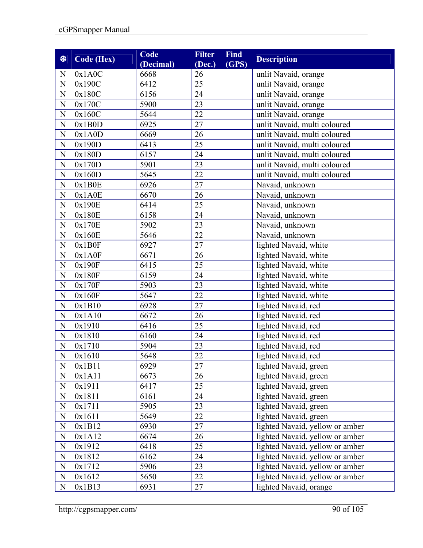| 黎              | <b>Code (Hex)</b> | Code<br>(Decimal) | <b>Filter</b><br>(Dec.) | <b>Find</b><br>(GPS) | <b>Description</b>              |
|----------------|-------------------|-------------------|-------------------------|----------------------|---------------------------------|
| N              | 0x1A0C            | 6668              | 26                      |                      | unlit Navaid, orange            |
| $\mathbf N$    | 0x190C            | 6412              | 25                      |                      | unlit Navaid, orange            |
| N              | 0x180C            | 6156              | 24                      |                      | unlit Navaid, orange            |
| ${\bf N}$      | 0x170C            | 5900              | 23                      |                      | unlit Navaid, orange            |
| $\mathbf N$    | 0x160C            | 5644              | 22                      |                      | unlit Navaid, orange            |
| $\mathbf N$    | 0x1B0D            | 6925              | 27                      |                      | unlit Navaid, multi coloured    |
| $\mathbf N$    | 0x1A0D            | 6669              | 26                      |                      | unlit Navaid, multi coloured    |
| ${\bf N}$      | 0x190D            | 6413              | 25                      |                      | unlit Navaid, multi coloured    |
| $\mathbf N$    | 0x180D            | 6157              | 24                      |                      | unlit Navaid, multi coloured    |
| ${\bf N}$      | 0x170D            | 5901              | 23                      |                      | unlit Navaid, multi coloured    |
| ${\bf N}$      | 0x160D            | 5645              | 22                      |                      | unlit Navaid, multi coloured    |
| $\mathbf N$    | 0x1B0E            | 6926              | 27                      |                      | Navaid, unknown                 |
| ${\bf N}$      | 0x1A0E            | 6670              | 26                      |                      | Navaid, unknown                 |
| $\overline{N}$ | 0x190E            | 6414              | 25                      |                      | Navaid, unknown                 |
| $\mathbf N$    | 0x180E            | 6158              | 24                      |                      | Navaid, unknown                 |
| $\mathbf N$    | 0x170E            | 5902              | 23                      |                      | Navaid, unknown                 |
| ${\bf N}$      | 0x160E            | 5646              | 22                      |                      | Navaid, unknown                 |
| ${\bf N}$      | 0x1B0F            | 6927              | 27                      |                      | lighted Navaid, white           |
| $\overline{N}$ | 0x1A0F            | 6671              | 26                      |                      | lighted Navaid, white           |
| ${\bf N}$      | 0x190F            | 6415              | 25                      |                      | lighted Navaid, white           |
| $\mathbf N$    | 0x180F            | 6159              | 24                      |                      | lighted Navaid, white           |
| $\mathbf N$    | 0x170F            | 5903              | 23                      |                      | lighted Navaid, white           |
| $\mathbf N$    | 0x160F            | 5647              | 22                      |                      | lighted Navaid, white           |
| ${\bf N}$      | 0x1B10            | 6928              | 27                      |                      | lighted Navaid, red             |
| $\mathbf N$    | 0x1A10            | 6672              | 26                      |                      | lighted Navaid, red             |
| $\mathbf N$    | 0x1910            | 6416              | 25                      |                      | lighted Navaid, red             |
| ${\bf N}$      | 0x1810            | 6160              | 24                      |                      | lighted Navaid, red             |
| $\mathbf N$    | 0x1710            | 5904              | 23                      |                      | lighted Navaid, red             |
| ${\bf N}$      | 0x1610            | 5648              | 22                      |                      | lighted Navaid, red             |
| N              | 0x1B11            | 6929              | 27                      |                      | lighted Navaid, green           |
| $\mathbf N$    | 0x1A11            | 6673              | 26                      |                      | lighted Navaid, green           |
| ${\bf N}$      | 0x1911            | 6417              | 25                      |                      | lighted Navaid, green           |
| ${\bf N}$      | 0x1811            | 6161              | 24                      |                      | lighted Navaid, green           |
| $\mathbf N$    | 0x1711            | 5905              | 23                      |                      | lighted Navaid, green           |
| $\mathbf N$    | 0x1611            | 5649              | 22                      |                      | lighted Navaid, green           |
| $\mathbf N$    | 0x1B12            | 6930              | $\overline{27}$         |                      | lighted Navaid, yellow or amber |
| $\mathbf N$    | 0x1A12            | 6674              | 26                      |                      | lighted Navaid, yellow or amber |
| $\mathbf N$    | 0x1912            | 6418              | 25                      |                      | lighted Navaid, yellow or amber |
| ${\bf N}$      | 0x1812            | 6162              | 24                      |                      | lighted Navaid, yellow or amber |
| ${\bf N}$      | 0x1712            | 5906              | 23                      |                      | lighted Navaid, yellow or amber |
| $\mathbf N$    | 0x1612            | 5650              | 22                      |                      | lighted Navaid, yellow or amber |
| $\mathbf N$    | 0x1B13            | 6931              | 27                      |                      | lighted Navaid, orange          |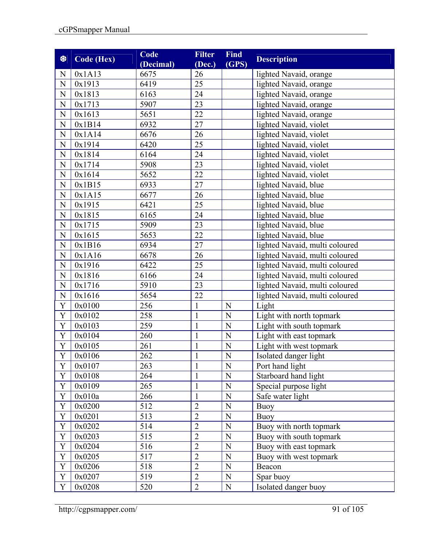| 黎            | <b>Code (Hex)</b> | Code<br>(Decimal) | <b>Filter</b><br>(Dec.) | <b>Find</b><br>(GPS) | <b>Description</b>             |
|--------------|-------------------|-------------------|-------------------------|----------------------|--------------------------------|
| N            | 0x1A13            | 6675              | 26                      |                      | lighted Navaid, orange         |
| $\mathbf N$  | 0x1913            | 6419              | 25                      |                      | lighted Navaid, orange         |
| $\mathbf N$  | 0x1813            | 6163              | 24                      |                      | lighted Navaid, orange         |
| ${\bf N}$    | 0x1713            | 5907              | 23                      |                      | lighted Navaid, orange         |
| $\mathbf N$  | 0x1613            | 5651              | 22                      |                      | lighted Navaid, orange         |
| ${\bf N}$    | 0x1B14            | 6932              | 27                      |                      | lighted Navaid, violet         |
| $\mathbf N$  | 0x1A14            | 6676              | 26                      |                      | lighted Navaid, violet         |
| N            | 0x1914            | 6420              | 25                      |                      | lighted Navaid, violet         |
| ${\bf N}$    | 0x1814            | 6164              | 24                      |                      | lighted Navaid, violet         |
| $\mathbf N$  | 0x1714            | 5908              | 23                      |                      | lighted Navaid, violet         |
| ${\bf N}$    | 0x1614            | 5652              | 22                      |                      | lighted Navaid, violet         |
| ${\bf N}$    | 0x1B15            | 6933              | 27                      |                      | lighted Navaid, blue           |
| $\mathbf N$  | 0x1A15            | 6677              | 26                      |                      | lighted Navaid, blue           |
| ${\bf N}$    | 0x1915            | 6421              | 25                      |                      | lighted Navaid, blue           |
| ${\bf N}$    | 0x1815            | 6165              | 24                      |                      | lighted Navaid, blue           |
| ${\bf N}$    | 0x1715            | 5909              | 23                      |                      | lighted Navaid, blue           |
| $\mathbf N$  | 0x1615            | 5653              | 22                      |                      | lighted Navaid, blue           |
| ${\bf N}$    | 0x1B16            | 6934              | 27                      |                      | lighted Navaid, multi coloured |
| ${\bf N}$    | 0x1A16            | 6678              | 26                      |                      | lighted Navaid, multi coloured |
| ${\bf N}$    | 0x1916            | 6422              | 25                      |                      | lighted Navaid, multi coloured |
| ${\bf N}$    | 0x1816            | 6166              | 24                      |                      | lighted Navaid, multi coloured |
| $\mathbf N$  | 0x1716            | 5910              | 23                      |                      | lighted Navaid, multi coloured |
| ${\bf N}$    | 0x1616            | 5654              | 22                      |                      | lighted Navaid, multi coloured |
| $\mathbf Y$  | 0x0100            | 256               | $\mathbf{1}$            | N                    | Light                          |
| $\mathbf Y$  | 0x0102            | 258               | $\mathbf{1}$            | N                    | Light with north topmark       |
| Y            | 0x0103            | 259               | $\mathbf{1}$            | N                    | Light with south topmark       |
| $\mathbf Y$  | 0x0104            | 260               | $\mathbf{1}$            | N                    | Light with east topmark        |
| Y            | 0x0105            | 261               | 1                       | N                    | Light with west topmark        |
| $\mathbf Y$  | 0x0106            | 262               |                         | $\mathbf N$          | Isolated danger light          |
| Y            | 0x0107            | 263               | 1                       | N                    | Port hand light                |
| Y            | 0x0108            | 264               | $\mathbf{1}$            | $\mathbf N$          | Starboard hand light           |
| $\mathbf Y$  | 0x0109            | 265               | $\mathbf{1}$            | $\mathbf N$          | Special purpose light          |
| $\mathbf Y$  | 0x010a            | 266               | $\mathbf{1}$            | $\mathbf N$          | Safe water light               |
| $\mathbf Y$  | 0x0200            | 512               | $\overline{2}$          | $\mathbf N$          | Buoy                           |
| $\mathbf Y$  | 0x0201            | 513               | $\overline{2}$          | N                    | <b>Buoy</b>                    |
| $\mathbf Y$  | 0x0202            | 514               | $\overline{2}$          | $\mathbf N$          | Buoy with north topmark        |
| $\mathbf Y$  | 0x0203            | 515               | $\overline{2}$          | N                    | Buoy with south topmark        |
| Y            | 0x0204            | 516               | $\overline{c}$          | $\mathbf N$          | Buoy with east topmark         |
| $\mathbf Y$  | 0x0205            | 517               | $\overline{2}$          | $\mathbf N$          | Buoy with west topmark         |
| $\mathbf Y$  | 0x0206            | 518               | $\overline{2}$          | N                    | Beacon                         |
| Y            | 0x0207            | 519               | $\overline{2}$          | N                    | Spar buoy                      |
| $\mathbf{Y}$ | 0x0208            | 520               | $\overline{2}$          | ${\bf N}$            | Isolated danger buoy           |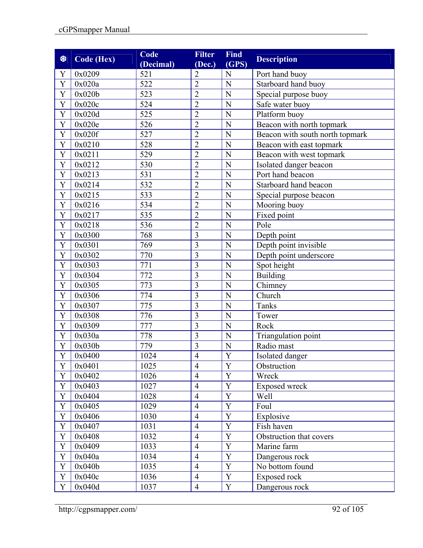| 黎              | Code (Hex) | Code<br>(Decimal) | <b>Filter</b><br>(Dec.) | <b>Find</b><br>$\overline{\textbf{(GPS)}}$ | <b>Description</b>              |
|----------------|------------|-------------------|-------------------------|--------------------------------------------|---------------------------------|
| Y              | 0x0209     | 521               | $\overline{2}$          | N                                          | Port hand buoy                  |
| Y              | 0x020a     | 522               | $\overline{2}$          | N                                          | Starboard hand buoy             |
| Y              | 0x020b     | 523               | $\overline{c}$          | $\overline{N}$                             | Special purpose buoy            |
| Y              | 0x020c     | 524               | $\overline{2}$          | N                                          | Safe water buoy                 |
| Y              | 0x020d     | 525               | $\overline{2}$          | N                                          | Platform buoy                   |
| Y              | 0x020e     | 526               | $\overline{2}$          | N                                          | Beacon with north topmark       |
| Y              | 0x020f     | 527               | $\overline{2}$          | N                                          | Beacon with south north topmark |
| Y              | 0x0210     | 528               | $\overline{c}$          | N                                          | Beacon with east topmark        |
| $\mathbf Y$    | 0x0211     | 529               | $\overline{2}$          | $\overline{N}$                             | Beacon with west topmark        |
| $\overline{Y}$ | 0x0212     | $\overline{5}30$  | $\overline{2}$          | N                                          | Isolated danger beacon          |
| $\mathbf Y$    | 0x0213     | 531               | $\overline{2}$          | N                                          | Port hand beacon                |
| Y              | 0x0214     | 532               | $\overline{2}$          | N                                          | Starboard hand beacon           |
| Y              | 0x0215     | 533               | $\overline{2}$          | $\overline{N}$                             | Special purpose beacon          |
| $\mathbf Y$    | 0x0216     | 534               | $\overline{2}$          | $\mathbf N$                                | Mooring buoy                    |
| Y              | 0x0217     | 535               | $\overline{2}$          | $\overline{N}$                             | Fixed point                     |
| Y              | 0x0218     | 536               | $\overline{2}$          | N                                          | Pole                            |
| Y              | 0x0300     | 768               | 3                       | N                                          | Depth point                     |
| $\mathbf Y$    | 0x0301     | 769               | $\overline{3}$          | N                                          | Depth point invisible           |
| Y              | 0x0302     | 770               | 3                       | N                                          | Depth point underscore          |
| $\overline{Y}$ | 0x0303     | $\overline{771}$  | $\overline{3}$          | N                                          | Spot height                     |
| $\mathbf Y$    | 0x0304     | 772               | 3                       | N                                          | <b>Building</b>                 |
| Y              | 0x0305     | 773               | 3                       | $\overline{N}$                             | Chimney                         |
| Y              | 0x0306     | 774               | $\overline{3}$          | N                                          | Church                          |
| Y              | 0x0307     | 775               | 3                       | N                                          | Tanks                           |
| $\mathbf Y$    | 0x0308     | 776               | $\overline{3}$          | $\mathbf N$                                | Tower                           |
| Y              | 0x0309     | 777               | 3                       | $\overline{N}$                             | Rock                            |
| $\mathbf Y$    | 0x030a     | 778               | 3                       | N                                          | Triangulation point             |
| $\mathbf Y$    | 0x030b     | 779               | $\overline{3}$          | $\mathbf N$                                | Radio mast                      |
| Y              | 0x0400     | 1024              | $\overline{4}$          | Y                                          | Isolated danger                 |
| Y              | 0x0401     | 1025              | $\overline{4}$          | Y                                          | Obstruction                     |
| $\mathbf Y$    | 0x0402     | 1026              | $\overline{4}$          | Y                                          | Wreck                           |
| Y              | 0x0403     | 1027              | $\overline{4}$          | $\mathbf Y$                                | Exposed wreck                   |
| $\mathbf Y$    | 0x0404     | 1028              | $\overline{4}$          | Y                                          | Well                            |
| Y              | 0x0405     | 1029              | $\overline{4}$          | $\mathbf Y$                                | Foul                            |
| Y              | 0x0406     | 1030              | $\overline{4}$          | Y                                          | Explosive                       |
| $\mathbf Y$    | 0x0407     | 1031              | $\overline{4}$          | Y                                          | Fish haven                      |
| Y              | 0x0408     | 1032              | $\overline{4}$          | Y                                          | Obstruction that covers         |
| $\mathbf Y$    | 0x0409     | 1033              | $\overline{4}$          | Y                                          | Marine farm                     |
| Y              | 0x040a     | 1034              | $\overline{4}$          | Y                                          | Dangerous rock                  |
| Y              | 0x040b     | 1035              | $\overline{4}$          | $\mathbf Y$                                | No bottom found                 |
| Y              | 0x040c     | 1036              | $\overline{4}$          | Y                                          | Exposed rock                    |
| Y              | 0x040d     | 1037              | $\overline{4}$          | $\mathbf Y$                                | Dangerous rock                  |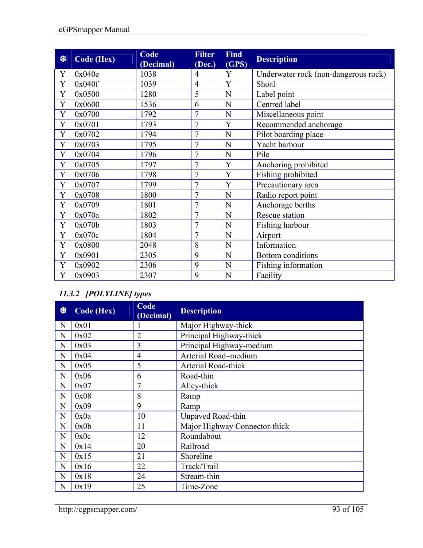| 黎 | Code (Hex) | Code<br>(Decimal) | <b>Filter</b><br>(Dec.) | <b>Find</b><br>(GPS) | <b>Description</b>                   |
|---|------------|-------------------|-------------------------|----------------------|--------------------------------------|
| Y | 0x040e     | 1038              | 4                       | Y                    | Underwater rock (non-dangerous rock) |
| Y | 0x040f     | 1039              | 4                       | Y                    | Shoal                                |
| Y | 0x0500     | 1280              | 5                       | N                    | Label point                          |
| Y | 0x0600     | 1536              | 6                       | N                    | Centred label                        |
| Y | 0x0700     | 1792              | $\overline{7}$          | N                    | Miscellaneous point                  |
| Y | 0x0701     | 1793              | 7                       | Y                    | Recommended anchorage                |
| Y | 0x0702     | 1794              | $\overline{7}$          | N                    | Pilot boarding place                 |
| Y | 0x0703     | 1795              | $\overline{7}$          | N                    | Yacht harbour                        |
| Y | 0x0704     | 1796              | $\overline{7}$          | N                    | Pile                                 |
| Y | 0x0705     | 1797              | $\overline{7}$          | Y                    | Anchoring prohibited                 |
| Y | 0x0706     | 1798              | $\overline{7}$          | Y                    | Fishing prohibited                   |
| Y | 0x0707     | 1799              | $\overline{7}$          | Y                    | Precautionary area                   |
| Y | 0x0708     | 1800              | 7                       | N                    | Radio report point                   |
| Y | 0x0709     | 1801              | 7                       | N                    | Anchorage berths                     |
| Y | 0x070a     | 1802              | $\overline{7}$          | N                    | Rescue station                       |
| Y | 0x070b     | 1803              | $\overline{7}$          | N                    | Fishing harbour                      |
| Y | 0x070c     | 1804              | $\overline{7}$          | N                    | Airport                              |
| Y | 0x0800     | 2048              | 8                       | N                    | Information                          |
| Y | 0x0901     | 2305              | 9                       | N                    | Bottom conditions                    |
| Y | 0x0902     | 2306              | 9                       | N                    | Fishing information                  |
| Y | 0x0903     | 2307              | 9                       | N                    | Facility                             |

## *11.3.2 [POLYLINE] types*

| ₩ | Code (Hex) | Code<br>(Decimal) | <b>Description</b>            |
|---|------------|-------------------|-------------------------------|
| N | 0x01       |                   | Major Highway-thick           |
| N | 0x02       | $\overline{2}$    | Principal Highway-thick       |
| N | 0x03       | 3                 | Principal Highway-medium      |
| N | 0x04       | $\overline{4}$    | Arterial Road-medium          |
| N | 0x05       | 5                 | Arterial Road-thick           |
| N | 0x06       | 6                 | Road-thin                     |
| N | 0x07       | 7                 | Alley-thick                   |
| N | 0x08       | 8                 | Ramp                          |
| N | 0x09       | 9                 | Ramp                          |
| N | 0x0a       | 10                | Unpaved Road-thin             |
| N | 0x0b       | 11                | Major Highway Connector-thick |
| N | 0x0c       | 12                | Roundabout                    |
| N | 0x14       | 20                | Railroad                      |
| N | 0x15       | 21                | Shoreline                     |
| N | 0x16       | 22                | Track/Trail                   |
| N | 0x18       | 24                | Stream-thin                   |
| N | 0x19       | 25                | Time-Zone                     |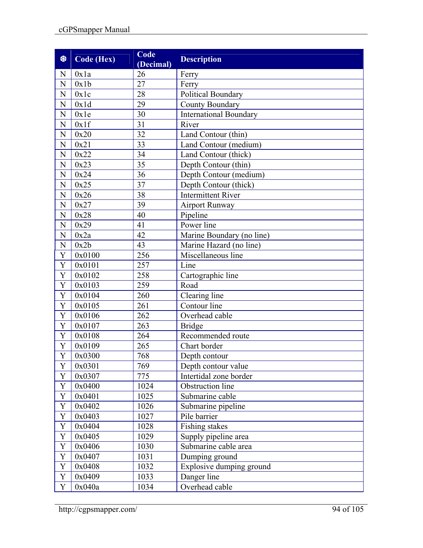| 黎              | <b>Code (Hex)</b> | Code<br>(Decimal) | <b>Description</b>            |  |  |  |
|----------------|-------------------|-------------------|-------------------------------|--|--|--|
| N              | 0x1a              | 26                | Ferry                         |  |  |  |
| N              | 0x1b              | 27                | Ferry                         |  |  |  |
| $\overline{N}$ | 0x1c              | 28                | Political Boundary            |  |  |  |
| N              | 0x1d              | 29                | County Boundary               |  |  |  |
| N              | 0x1e              | 30                | <b>International Boundary</b> |  |  |  |
| N              | 0x1f              | 31                | River                         |  |  |  |
| N              | 0x20              | 32                | Land Contour (thin)           |  |  |  |
| N              | 0x21              | 33                | Land Contour (medium)         |  |  |  |
| N              | 0x22              | 34                | Land Contour (thick)          |  |  |  |
| $\overline{N}$ | 0x23              | 35                | Depth Contour (thin)          |  |  |  |
| N              | 0x24              | 36                | Depth Contour (medium)        |  |  |  |
| N              | 0x25              | 37                | Depth Contour (thick)         |  |  |  |
| N              | 0x26              | 38                | <b>Intermittent River</b>     |  |  |  |
| N              | 0x27              | 39                | <b>Airport Runway</b>         |  |  |  |
| $\overline{N}$ | 0x28              | 40                | Pipeline                      |  |  |  |
| $\mathbf N$    | 0x29              | 41                | Power line                    |  |  |  |
| N              | 0x2a              | 42                | Marine Boundary (no line)     |  |  |  |
| N              | 0x2b              | 43                | Marine Hazard (no line)       |  |  |  |
| Y              | 0x0100            | 256               | Miscellaneous line            |  |  |  |
| Y              | 0x0101            | 257               | Line                          |  |  |  |
| Y              | 0x0102            | 258               | Cartographic line             |  |  |  |
| Y              | 0x0103            | 259               | Road                          |  |  |  |
| Y              | 0x0104            | 260               | Clearing line                 |  |  |  |
| Y              | 0x0105            | 261               | Contour line                  |  |  |  |
| Y              | 0x0106            | 262               | Overhead cable                |  |  |  |
| $\mathbf Y$    | 0x0107            | 263               | <b>Bridge</b>                 |  |  |  |
| Y              | 0x0108            | 264               | Recommended route             |  |  |  |
| $\mathbf Y$    | 0x0109            | 265               | Chart border                  |  |  |  |
| Y              | 0x0300            | 768               | Depth contour                 |  |  |  |
| Y              | 0x0301            | 769               | Depth contour value           |  |  |  |
| $\mathbf Y$    | 0x0307            | 775               | Intertidal zone border        |  |  |  |
| Y              | 0x0400            | 1024              | Obstruction line              |  |  |  |
| Y              | 0x0401            | 1025              | Submarine cable               |  |  |  |
| $\mathbf Y$    | 0x0402            | 1026              | Submarine pipeline            |  |  |  |
| $\mathbf Y$    | 0x0403            | 1027              | Pile barrier                  |  |  |  |
| Y              | 0x0404            | 1028              | Fishing stakes                |  |  |  |
| Y              | 0x0405            | 1029              | Supply pipeline area          |  |  |  |
| Y              | 0x0406            | 1030              | Submarine cable area          |  |  |  |
| Y              | 0x0407            | 1031              | Dumping ground                |  |  |  |
| Y              | 0x0408            | 1032              | Explosive dumping ground      |  |  |  |
| $\mathbf Y$    | 0x0409            | 1033              | Danger line                   |  |  |  |
| Y              | 0x040a            | 1034              | Overhead cable                |  |  |  |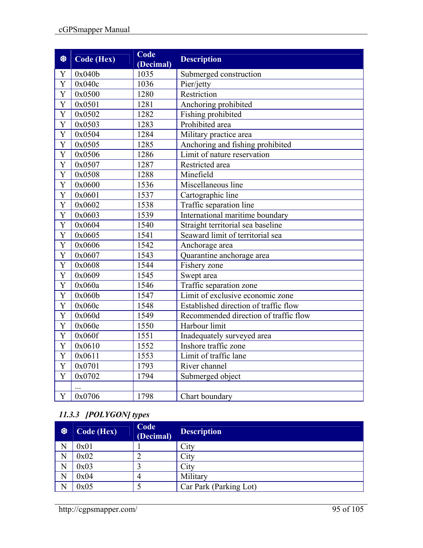| 黎                     | Code (Hex) | Code<br>(Decimal) | <b>Description</b>                    |  |  |
|-----------------------|------------|-------------------|---------------------------------------|--|--|
| Y                     | 0x040b     | 1035              | Submerged construction                |  |  |
| Y                     | 0x040c     | 1036              | Pier/jetty                            |  |  |
| Y                     | 0x0500     | 1280              | Restriction                           |  |  |
| Y                     | 0x0501     | 1281              | Anchoring prohibited                  |  |  |
| $\overline{\text{Y}}$ | 0x0502     | 1282              | Fishing prohibited                    |  |  |
| Y                     | 0x0503     | 1283              | Prohibited area                       |  |  |
| Y                     | 0x0504     | 1284              | Military practice area                |  |  |
| Y                     | 0x0505     | 1285              | Anchoring and fishing prohibited      |  |  |
| Y                     | 0x0506     | 1286              | Limit of nature reservation           |  |  |
| $\overline{Y}$        | 0x0507     | 1287              | Restricted area                       |  |  |
| $\overline{\text{Y}}$ | 0x0508     | 1288              | Minefield                             |  |  |
| Y                     | 0x0600     | 1536              | Miscellaneous line                    |  |  |
| Y                     | 0x0601     | 1537              | Cartographic line                     |  |  |
| Y                     | 0x0602     | 1538              | Traffic separation line               |  |  |
| Y                     | 0x0603     | 1539              | International maritime boundary       |  |  |
| Y                     | 0x0604     | 1540              | Straight territorial sea baseline     |  |  |
| Y                     | 0x0605     | 1541              | Seaward limit of territorial sea      |  |  |
| Y                     | 0x0606     | 1542              | Anchorage area                        |  |  |
| Y                     | 0x0607     | 1543              | Quarantine anchorage area             |  |  |
| $\overline{\text{Y}}$ | 0x0608     | 1544              | Fishery zone                          |  |  |
| Y                     | 0x0609     | 1545              | Swept area                            |  |  |
| $\overline{\text{Y}}$ | 0x060a     | 1546              | Traffic separation zone               |  |  |
| $\mathbf Y$           | 0x060b     | 1547              | Limit of exclusive economic zone      |  |  |
| Y                     | 0x060c     | 1548              | Established direction of traffic flow |  |  |
| $\overline{\text{Y}}$ | 0x060d     | 1549              | Recommended direction of traffic flow |  |  |
| $\overline{\text{Y}}$ | 0x060e     | 1550              | Harbour limit                         |  |  |
| Y                     | 0x060f     | 1551              | Inadequately surveyed area            |  |  |
| Y                     | 0x0610     | 1552              | Inshore traffic zone                  |  |  |
| $\overline{\text{Y}}$ | 0x0611     | 1553              | Limit of traffic lane                 |  |  |
| Y                     | 0x0701     | 1793              | River channel                         |  |  |
| $\overline{Y}$        | 0x0702     | 1794              | Submerged object                      |  |  |
|                       |            |                   |                                       |  |  |
| Y                     | 0x0706     | 1798              | Chart boundary                        |  |  |

## *11.3.3 [POLYGON] types*

| │ ※ | Code (Hex) | Code<br>(Decimal) | <b>Description</b>     |
|-----|------------|-------------------|------------------------|
| N   | 0x01       |                   | City                   |
| N   | 0x02       |                   | City                   |
| N   | 0x03       |                   | City                   |
| N   | 0x04       | 4                 | Military               |
| N   | 0x05       |                   | Car Park (Parking Lot) |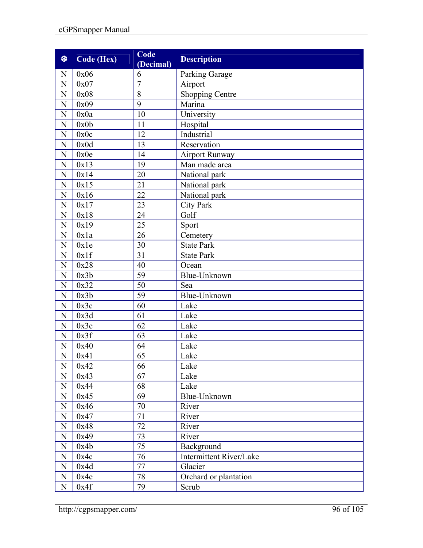| 黎              | Code (Hex) | Code<br>(Decimal) | <b>Description</b>             |
|----------------|------------|-------------------|--------------------------------|
| N              | 0x06       | 6                 | Parking Garage                 |
| $\mathbf N$    | 0x07       | $\overline{7}$    | Airport                        |
| N              | 0x08       | 8                 | <b>Shopping Centre</b>         |
| ${\bf N}$      | 0x09       | 9                 | Marina                         |
| ${\bf N}$      | 0x0a       | 10                | University                     |
| N              | 0x0b       | 11                | Hospital                       |
| $\mathbf N$    | 0x0c       | 12                | Industrial                     |
| ${\bf N}$      | 0x0d       | 13                | Reservation                    |
| ${\bf N}$      | 0x0e       | 14                | <b>Airport Runway</b>          |
| N              | 0x13       | 19                | Man made area                  |
| ${\bf N}$      | 0x14       | 20                | National park                  |
| $\mathbf N$    | 0x15       | 21                | National park                  |
| N              | 0x16       | 22                | National park                  |
| ${\bf N}$      | 0x17       | 23                | <b>City Park</b>               |
| ${\bf N}$      | 0x18       | 24                | Golf                           |
| ${\bf N}$      | 0x19       | 25                | Sport                          |
| $\mathbf N$    | 0x1a       | 26                | Cemetery                       |
| $\mathbf N$    | 0x1e       | 30                | <b>State Park</b>              |
| $\mathbf N$    | 0x1f       | 31                | <b>State Park</b>              |
| N              | 0x28       | 40                | Ocean                          |
| ${\bf N}$      | 0x3b       | 59                | Blue-Unknown                   |
| $\overline{N}$ | 0x32       | 50                | Sea                            |
| $\mathbf N$    | 0x3b       | 59                | Blue-Unknown                   |
| ${\bf N}$      | 0x3c       | 60                | Lake                           |
| ${\bf N}$      | 0x3d       | 61                | Lake                           |
| $\mathbf N$    | 0x3e       | 62                | Lake                           |
| N              | 0x3f       | 63                | Lake                           |
| N              | 0x40       | 64                | Lake                           |
| $\overline{N}$ | 0x41       | 65                | Lake                           |
| N              | 0x42       | 66                | Lake                           |
| ${\bf N}$      | 0x43       | 67                | Lake                           |
| $\mathbf N$    | 0x44       | 68                | Lake                           |
| $\mathbf N$    | 0x45       | 69                | Blue-Unknown                   |
| ${\bf N}$      | 0x46       | 70                | River                          |
| $\mathbf N$    | 0x47       | 71                | River                          |
| ${\bf N}$      | 0x48       | 72                | River                          |
| N              | 0x49       | 73                | River                          |
| $\mathbf N$    | 0x4b       | 75                | Background                     |
| N              | 0x4c       | 76                | <b>Intermittent River/Lake</b> |
| N              | 0x4d       | 77                | Glacier                        |
| $\mathbf N$    | 0x4e       | 78                | Orchard or plantation          |
| N              | 0x4f       | 79                | Scrub                          |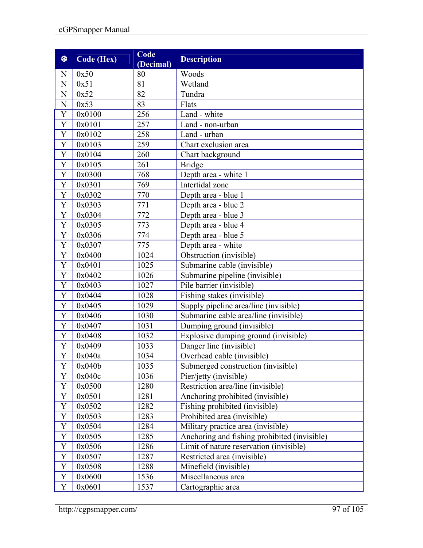| 黎              | Code (Hex) | Code<br>(Decimal) | <b>Description</b>                           |  |  |  |
|----------------|------------|-------------------|----------------------------------------------|--|--|--|
| N              | 0x50       | 80                | Woods                                        |  |  |  |
| N              | 0x51       | 81                | Wetland                                      |  |  |  |
| N              | 0x52       | 82                | Tundra                                       |  |  |  |
| N              | 0x53       | 83                | Flats                                        |  |  |  |
| Y              | 0x0100     | 256               | Land - white                                 |  |  |  |
| Y              | 0x0101     | 257               | Land - non-urban                             |  |  |  |
| $\mathbf Y$    | 0x0102     | 258               | Land - urban                                 |  |  |  |
| $\mathbf Y$    | 0x0103     | 259               | Chart exclusion area                         |  |  |  |
| $\mathbf Y$    | 0x0104     | 260               | Chart background                             |  |  |  |
| $\mathbf Y$    | 0x0105     | 261               | <b>Bridge</b>                                |  |  |  |
| Y              | 0x0300     | 768               | Depth area - white 1                         |  |  |  |
| Y              | 0x0301     | 769               | Intertidal zone                              |  |  |  |
| $\mathbf Y$    | 0x0302     | 770               | Depth area - blue 1                          |  |  |  |
| $\mathbf Y$    | 0x0303     | 771               | Depth area - blue 2                          |  |  |  |
| $\overline{Y}$ | 0x0304     | 772               | Depth area - blue 3                          |  |  |  |
| $\mathbf Y$    | 0x0305     | 773               | Depth area - blue 4                          |  |  |  |
| Y              | 0x0306     | 774               | Depth area - blue 5                          |  |  |  |
| $\mathbf Y$    | 0x0307     | 775               | Depth area - white                           |  |  |  |
| Y              | 0x0400     | 1024              | Obstruction (invisible)                      |  |  |  |
| $\mathbf Y$    | 0x0401     | 1025              | Submarine cable (invisible)                  |  |  |  |
| $\mathbf Y$    | 0x0402     | 1026              | Submarine pipeline (invisible)               |  |  |  |
| Y              | 0x0403     | 1027              | Pile barrier (invisible)                     |  |  |  |
| $\mathbf Y$    | 0x0404     | 1028              | Fishing stakes (invisible)                   |  |  |  |
| Y              | 0x0405     | 1029              | Supply pipeline area/line (invisible)        |  |  |  |
| Y              | 0x0406     | 1030              | Submarine cable area/line (invisible)        |  |  |  |
| Y              | 0x0407     | 1031              | Dumping ground (invisible)                   |  |  |  |
| Y              | 0x0408     | 1032              | Explosive dumping ground (invisible)         |  |  |  |
| $\mathbf Y$    | 0x0409     | 1033              | Danger line (invisible)                      |  |  |  |
| Y              | 0x040a     | 1034              | Overhead cable (invisible)                   |  |  |  |
| Y              | 0x040b     | 1035              | Submerged construction (invisible)           |  |  |  |
| Y              | 0x040c     | 1036              | Pier/jetty (invisible)                       |  |  |  |
| Y              | 0x0500     | 1280              | Restriction area/line (invisible)            |  |  |  |
| $\mathbf Y$    | 0x0501     | 1281              | Anchoring prohibited (invisible)             |  |  |  |
| $\mathbf Y$    | 0x0502     | 1282              | Fishing prohibited (invisible)               |  |  |  |
| $\mathbf Y$    | 0x0503     | 1283              | Prohibited area (invisible)                  |  |  |  |
| $\mathbf Y$    | 0x0504     | 1284              | Military practice area (invisible)           |  |  |  |
| $\mathbf Y$    | 0x0505     | 1285              | Anchoring and fishing prohibited (invisible) |  |  |  |
| Y              | 0x0506     | 1286              | Limit of nature reservation (invisible)      |  |  |  |
| $\mathbf Y$    | 0x0507     | 1287              | Restricted area (invisible)                  |  |  |  |
| $\mathbf Y$    | 0x0508     | 1288              | Minefield (invisible)                        |  |  |  |
| $\mathbf Y$    | 0x0600     | 1536              | Miscellaneous area                           |  |  |  |
| Y              | 0x0601     | 1537              | Cartographic area                            |  |  |  |